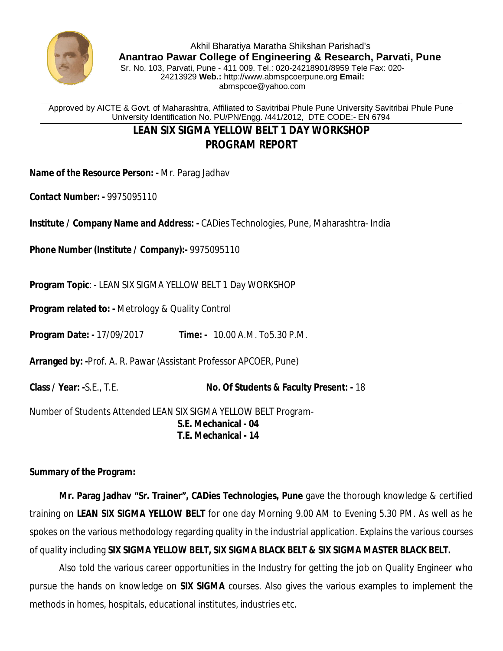

Approved by AICTE & Govt. of Maharashtra, Affiliated to Savitribai Phule Pune University Savitribai Phule Pune University Identification No. PU/PN/Engg. /441/2012, DTE CODE:- EN 6794

## **LEAN SIX SIGMA YELLOW BELT 1 DAY WORKSHOP PROGRAM REPORT**

**Name of the Resource Person: -** Mr. Parag Jadhav

**Contact Number: -** 9975095110

**Institute / Company Name and Address: -** CADies Technologies, Pune, Maharashtra- India

**Phone Number (Institute / Company):-** 9975095110

**Program Topic**: - LEAN SIX SIGMA YELLOW BELT 1 Day WORKSHOP

**Program related to: -** Metrology & Quality Control

**Program Date: -** 17/09/2017 **Time: -** 10.00 A.M. To5.30 P.M.

**Arranged by: -**Prof. A. R. Pawar (Assistant Professor APCOER, Pune)

**Class / Year: -**S.E., T.E. **No. Of Students & Faculty Present: -** 18

Number of Students Attended LEAN SIX SIGMA YELLOW BELT Program-**S.E. Mechanical - 04 T.E. Mechanical - 14**

## **Summary of the Program:**

**Mr. Parag Jadhav "Sr. Trainer", CADies Technologies, Pune** gave the thorough knowledge & certified training on **LEAN SIX SIGMA YELLOW BELT** for one day Morning 9.00 AM to Evening 5.30 PM. As well as he spokes on the various methodology regarding quality in the industrial application. Explains the various courses of quality including **SIX SIGMA YELLOW BELT, SIX SIGMA BLACK BELT & SIX SIGMA MASTER BLACK BELT.**

Also told the various career opportunities in the Industry for getting the job on Quality Engineer who pursue the hands on knowledge on **SIX SIGMA** courses. Also gives the various examples to implement the methods in homes, hospitals, educational institutes, industries etc.